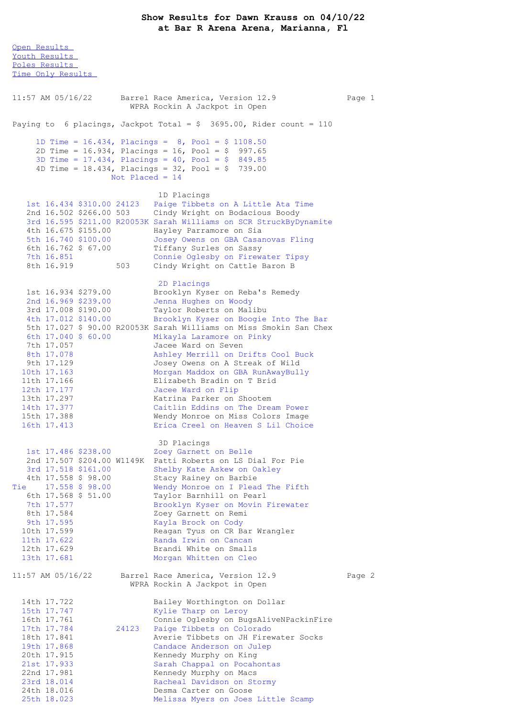Open [Results](file:///C:/Users/flori/Downloads/Show_Results_Dawn_Krauss_04_10_22.html#Open) Youth [Results](file:///C:/Users/flori/Downloads/Show_Results_Dawn_Krauss_04_10_22.html#Youth) Poles [Results](file:///C:/Users/flori/Downloads/Show_Results_Dawn_Krauss_04_10_22.html#Poles) Time Only [Results](file:///C:/Users/flori/Downloads/Show_Results_Dawn_Krauss_04_10_22.html#Time%20Only) 11:57 AM 05/16/22 Barrel Race America, Version 12.9 Page 1 WPRA Rockin A Jackpot in Open Paying to 6 placings, Jackpot Total =  $$3695.00$ , Rider count = 110 1D Time = 16.434, Placings = 8, Pool = \$ 1108.50 2D Time = 16.934, Placings = 16, Pool = \$ 997.65 3D Time = 17.434, Placings = 40, Pool = \$ 849.85 4D Time = 18.434, Placings = 32, Pool = \$ 739.00 Not Placed = 14 1D Placings 1st 16.434 \$310.00 24123 Paige Tibbets on A Little Ata Time 2nd 16.502 \$266.00 503 Cindy Wright on Bodacious Boody 3rd 16.595 \$211.00 R20053K Sarah Williams on SCR StruckByDynamite 4th 16.675 \$155.00 Hayley Parramore on Sia 5th 16.740 \$100.00 Josey Owens on GBA Casanovas Fling 6th 16.762 \$ 67.00 Tiffany Surles on Sassy 7th 16.851 Connie Oglesby on Firewater Tipsy 8th 16.919 503 Cindy Wright on Cattle Baron B 2D Placings 1st 16.934 \$279.00 Brooklyn Kyser on Reba's Remedy 2nd 16.969 \$239.00 Jenna Hughes on Woody 3rd 17.008 \$190.00 Taylor Roberts on Malibu 4th 17.012 \$140.00 Brooklyn Kyser on Boogie Into The Bar 5th 17.027 \$ 90.00 R20053K Sarah Williams on Miss Smokin San Chex 6th 17.040 \$ 60.00 Mikayla Laramore on Pinky 7th 17.057 Jacee Ward on Seven 8th 17.078 Ashley Merrill on Drifts Cool Buck 9th 17.129 Josey Owens on A Streak of Wild 10th 17.163 Morgan Maddox on GBA RunAwayBully 11th 17.166 Elizabeth Bradin on T Brid 12th 17.177 Jacee Ward on Flip 13th 17.297 Katrina Parker on Shootem 14th 17.377 Caitlin Eddins on The Dream Power 15th 17.388 Wendy Monroe on Miss Colors Image 16th 17.413 Erica Creel on Heaven S Lil Choice 3D Placings 1st 17.486 \$238.00<br>
2nd 17.507 \$204.00 W1149K Patti Roberts on LS Dial For Pie 2nd 17.507 \$204.00 W1149K Patti Roberts on LS Dial For Pie 3rd 17.518 \$161.00 Shelby Kate Askew on Oakley 4th 17.558 \$ 98.00 Stacy Rainey on Barbie Tie 17.558 \$ 98.00 Wendy Monroe on I Plead The Fifth 6th 17.568 \$ 51.00 Taylor Barnhill on Pearl 7th 17.577 Brooklyn Kyser on Movin Firewater 8th 17.584 Zoey Garnett on Remi 9th 17.595 Kayla Brock on Cody 10th 17.599 Reagan Tyus on CR Bar Wrangler 11th 17.622 Randa Irwin on Cancan 12th 17.629 Brandi White on Smalls 13th 17.681 Morgan Whitten on Cleo 11:57 AM 05/16/22 Barrel Race America, Version 12.9 Page 2 WPRA Rockin A Jackpot in Open 14th 17.722 Bailey Worthington on Dollar<br>15th 17.747 Kylie Tharp on Leroy 15th 17.747 Kylie Tharp on Leroy<br>16th 17.761 Connie Oglesby on Buc 16th 17.761 Connie Oglesby on BugsAliveNPackinFire<br>17th 17.784 24123 Paige Tibbets on Colorado 17th 17.784 24123 Paige Tibbets on Colorado<br>18th 17.841 24123 Averie Tibbets on JH Fire 18th 17.841 Averie Tibbets on JH Firewater Socks 19th 17.868 Candace Anderson on Julep 20th 17.915 Kennedy Murphy on King 21st 17.933 Sarah Chappal on Pocahontas 22nd 17.981 Kennedy Murphy on Macs 23rd 18.014 Racheal Davidson on Stormy 24th 18.016 Desma Carter on Goose 25th 18.023 Melissa Myers on Joes Little Scamp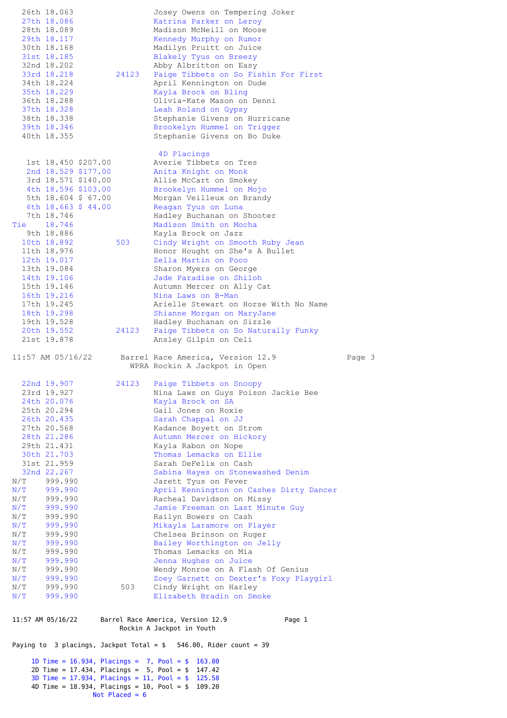|                                                                                | 26th 18.063<br>27th 18.086                                                                                          |                                            |       | Josey Owens on Tempering Joker<br>Katrina Parker on Leroy          |        |  |  |  |  |
|--------------------------------------------------------------------------------|---------------------------------------------------------------------------------------------------------------------|--------------------------------------------|-------|--------------------------------------------------------------------|--------|--|--|--|--|
|                                                                                | 28th 18.089                                                                                                         |                                            |       | Madison McNeill on Moose                                           |        |  |  |  |  |
|                                                                                | 29th 18.117                                                                                                         |                                            |       | Kennedy Murphy on Rumor                                            |        |  |  |  |  |
|                                                                                | 30th 18.168<br>31st 18.185                                                                                          |                                            |       | Madilyn Pruitt on Juice<br>Blakely Tyus on Breezy                  |        |  |  |  |  |
|                                                                                | 32nd 18.202                                                                                                         |                                            |       | Abby Albritton on Easy                                             |        |  |  |  |  |
|                                                                                | 33rd 18.218                                                                                                         |                                            | 24123 | Paige Tibbets on So Fishin For First                               |        |  |  |  |  |
|                                                                                | 34th 18.224<br>35th 18.229                                                                                          |                                            |       | April Kennington on Dude<br>Kayla Brock on Bling                   |        |  |  |  |  |
|                                                                                | 36th 18.288                                                                                                         |                                            |       | Olivia-Kate Mason on Denni                                         |        |  |  |  |  |
|                                                                                | 37th 18.328                                                                                                         |                                            |       | Leah Roland on Gypsy                                               |        |  |  |  |  |
|                                                                                | 38th 18.338<br>39th 18.346                                                                                          |                                            |       | Stephanie Givens on Hurricane<br>Brookelyn Hummel on Trigger       |        |  |  |  |  |
|                                                                                | 40th 18.355                                                                                                         |                                            |       | Stephanie Givens on Bo Duke                                        |        |  |  |  |  |
|                                                                                |                                                                                                                     |                                            |       |                                                                    |        |  |  |  |  |
|                                                                                |                                                                                                                     | 1st 18.450 \$207.00                        |       | 4D Placings<br>Averie Tibbets on Tres                              |        |  |  |  |  |
|                                                                                |                                                                                                                     | 2nd 18.529 \$177.00                        |       | Anita Knight on Monk                                               |        |  |  |  |  |
|                                                                                |                                                                                                                     | 3rd 18.571 \$140.00                        |       | Allie McCart on Smokey                                             |        |  |  |  |  |
|                                                                                |                                                                                                                     | 4th 18.596 \$103.00<br>5th 18.604 \$ 67.00 |       | Brookelyn Hummel on Mojo<br>Morgan Veilleux on Brandy              |        |  |  |  |  |
|                                                                                |                                                                                                                     | 6th 18.663 \$ 44.00                        |       | Reagan Tyus on Luna                                                |        |  |  |  |  |
| Tie                                                                            | 7th 18.746<br>18.746                                                                                                |                                            |       | Hadley Buchanan on Shooter<br>Madison Smith on Mocha               |        |  |  |  |  |
|                                                                                | 9th 18.886                                                                                                          |                                            |       | Kayla Brock on Jazz                                                |        |  |  |  |  |
|                                                                                | 10th 18.892                                                                                                         |                                            | 503   | Cindy Wright on Smooth Ruby Jean                                   |        |  |  |  |  |
|                                                                                | 11th 18.976<br>12th 19.017                                                                                          |                                            |       | Honor Hought on She's A Bullet<br>Zella Martin on Poco             |        |  |  |  |  |
|                                                                                | 13th 19.084                                                                                                         |                                            |       | Sharon Myers on George                                             |        |  |  |  |  |
|                                                                                | 14th 19.106                                                                                                         |                                            |       | Jade Paradise on Shiloh                                            |        |  |  |  |  |
|                                                                                | 15th 19.146<br>16th 19.216                                                                                          |                                            |       | Autumn Mercer on Ally Cat<br>Nina Laws on B-Man                    |        |  |  |  |  |
|                                                                                | 17th 19.245                                                                                                         |                                            |       | Arielle Stewart on Horse With No Name                              |        |  |  |  |  |
|                                                                                | 18th 19.298                                                                                                         |                                            |       | Shianne Morgan on MaryJane                                         |        |  |  |  |  |
|                                                                                | 19th 19.528<br>20th 19.552                                                                                          |                                            | 24123 | Hadley Buchanan on Sizzle<br>Paige Tibbets on So Naturally Funky   |        |  |  |  |  |
|                                                                                | 21st 19.878                                                                                                         |                                            |       | Ansley Gilpin on Celi                                              |        |  |  |  |  |
|                                                                                | 11:57 AM 05/16/22                                                                                                   |                                            |       | Barrel Race America, Version 12.9                                  | Page 3 |  |  |  |  |
|                                                                                |                                                                                                                     |                                            |       | WPRA Rockin A Jackpot in Open                                      |        |  |  |  |  |
|                                                                                | 22nd 19.907                                                                                                         |                                            | 24123 | Paige Tibbets on Snoopy                                            |        |  |  |  |  |
|                                                                                | 23rd 19.927                                                                                                         |                                            |       | Nina Laws on Guys Poison Jackie Bee                                |        |  |  |  |  |
|                                                                                | 24th 20.076                                                                                                         |                                            |       | Kayla Brock on SA                                                  |        |  |  |  |  |
|                                                                                | 25th 20.294<br>26th 20.435                                                                                          |                                            |       | Gail Jones on Roxie<br>Sarah Chappal on JJ                         |        |  |  |  |  |
|                                                                                | 27th 20.568                                                                                                         |                                            |       | Kadance Boyett on Strom                                            |        |  |  |  |  |
|                                                                                | 28th 21.286                                                                                                         |                                            |       | Autumn Mercer on Hickory                                           |        |  |  |  |  |
|                                                                                | 29th 21.431<br>30th 21.703                                                                                          |                                            |       | Kayla Rabon on Nope<br>Thomas Lemacks on Ellie                     |        |  |  |  |  |
|                                                                                | 31st 21.959                                                                                                         |                                            |       | Sarah DeFelix on Cash                                              |        |  |  |  |  |
|                                                                                | 32nd 22.267                                                                                                         |                                            |       | Sabina Hayes on Stonewashed Denim                                  |        |  |  |  |  |
| N/T<br>N/T                                                                     | 999.990<br>999.990                                                                                                  |                                            |       | Jarett Tyus on Fever<br>April Kennington on Cashes Dirty Dancer    |        |  |  |  |  |
| N/T                                                                            | 999.990                                                                                                             |                                            |       | Racheal Davidson on Missy                                          |        |  |  |  |  |
| N/T<br>N/T                                                                     | 999.990<br>999.990                                                                                                  |                                            |       | Jamie Freeman on Last Minute Guy                                   |        |  |  |  |  |
| N/T                                                                            | 999.990                                                                                                             |                                            |       | Railyn Bowers on Cash<br>Mikayla Laramore on Player                |        |  |  |  |  |
| N/T                                                                            | 999.990                                                                                                             |                                            |       | Chelsea Brinson on Ruger                                           |        |  |  |  |  |
| N/T<br>N/T                                                                     | 999.990<br>999.990                                                                                                  |                                            |       | Bailey Worthington on Jelly<br>Thomas Lemacks on Mia               |        |  |  |  |  |
| N/T                                                                            | 999.990                                                                                                             |                                            |       | Jenna Hughes on Juice                                              |        |  |  |  |  |
| N/T                                                                            | 999.990                                                                                                             |                                            |       | Wendy Monroe on A Flash Of Genius                                  |        |  |  |  |  |
| N/T<br>N/T                                                                     | 999.990<br>999.990                                                                                                  |                                            | 503   | Zoey Garnett on Dexter's Foxy Playgirl<br>Cindy Wright on Harley   |        |  |  |  |  |
| N/T                                                                            | 999.990                                                                                                             |                                            |       | Elizabeth Bradin on Smoke                                          |        |  |  |  |  |
|                                                                                | 11:57 AM 05/16/22                                                                                                   |                                            |       | Barrel Race America, Version 12.9<br>Page 1                        |        |  |  |  |  |
|                                                                                |                                                                                                                     |                                            |       | Rockin A Jackpot in Youth                                          |        |  |  |  |  |
|                                                                                |                                                                                                                     |                                            |       | Paying to 3 placings, Jackpot Total = $$546.00$ , Rider count = 39 |        |  |  |  |  |
|                                                                                | 1D Time = $16.934$ , Placings = 7, Pool = \$<br>163.80<br>2D Time = $17.434$ , Placings = $5$ , Pool = \$<br>147.42 |                                            |       |                                                                    |        |  |  |  |  |
|                                                                                | 3D Time = $17.934$ , Placings = $11$ , Pool = \$<br>125.58                                                          |                                            |       |                                                                    |        |  |  |  |  |
| 4D Time = $18.934$ , Placings = $10$ , Pool = \$<br>109.20<br>Not Placed = $6$ |                                                                                                                     |                                            |       |                                                                    |        |  |  |  |  |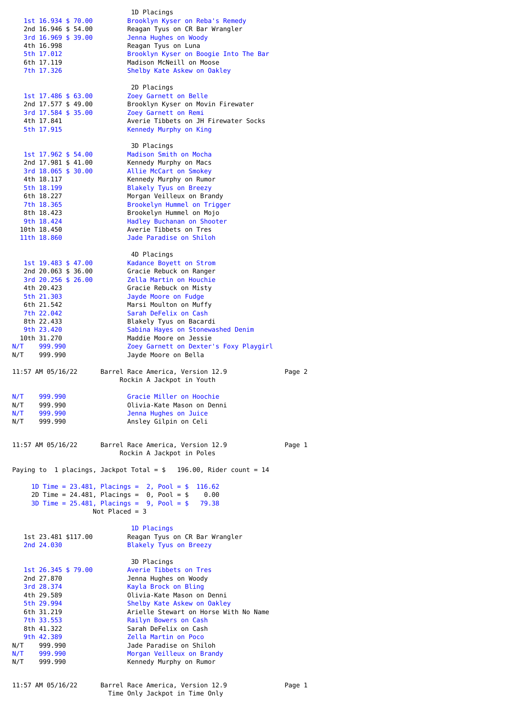| 1st 16.934 \$ 70.00<br>2nd 16.946 \$ 54.00<br>3rd 16.969 \$ 39.00<br>4th 16.998<br>5th 17.012<br>6th 17.119<br>7th 17.326                                                                                | 1D Placings<br>Brooklyn Kyser on Reba's Remedy<br>Reagan Tyus on CR Bar Wrangler<br>Jenna Hughes on Woody<br>Reagan Tyus on Luna<br>Brooklyn Kyser on Boogie Into The Bar<br>Madison McNeill on Moose<br>Shelby Kate Askew on Oakley                                                                                                                          |        |
|----------------------------------------------------------------------------------------------------------------------------------------------------------------------------------------------------------|---------------------------------------------------------------------------------------------------------------------------------------------------------------------------------------------------------------------------------------------------------------------------------------------------------------------------------------------------------------|--------|
| 1st 17.486 \$ 63.00<br>2nd 17.577 \$ 49.00<br>3rd 17.584 \$ 35.00<br>4th 17.841<br>5th 17.915                                                                                                            | 2D Placings<br>Zoey Garnett on Belle<br>Brooklyn Kyser on Movin Firewater<br>Zoey Garnett on Remi<br>Averie Tibbets on JH Firewater Socks<br>Kennedy Murphy on King                                                                                                                                                                                           |        |
| 1st 17.962 \$ 54.00<br>2nd 17.981 \$ 41.00<br>3rd 18.065 \$ 30.00<br>4th 18.117<br>5th 18.199<br>6th 18.227<br>7th 18.365<br>8th 18.423<br>9th 18.424<br>10th 18.450<br>11th 18.860                      | 3D Placings<br>Madison Smith on Mocha<br>Kennedy Murphy on Macs<br>Allie McCart on Smokey<br>Kennedy Murphy on Rumor<br><b>Blakely Tyus on Breezy</b><br>Morgan Veilleux on Brandy<br>Brookelyn Hummel on Trigger<br>Brookelyn Hummel on Mojo<br>Hadley Buchanan on Shooter<br>Averie Tibbets on Tres<br>Jade Paradise on Shiloh                              |        |
| 1st 19.483 \$ 47.00<br>2nd 20.063 \$ 36.00<br>3rd 20.256 \$ 26.00<br>4th 20.423<br>5th 21.303<br>6th 21.542<br>7th 22.042<br>8th 22.433<br>9th 23.420<br>10th 31.270<br>N/T<br>999.990<br>N/T<br>999.990 | 4D Placings<br>Kadance Boyett on Strom<br>Gracie Rebuck on Ranger<br>Zella Martin on Houchie<br>Gracie Rebuck on Misty<br>Jayde Moore on Fudge<br>Marsi Moulton on Muffy<br>Sarah DeFelix on Cash<br>Blakely Tyus on Bacardi<br>Sabina Hayes on Stonewashed Denim<br>Maddie Moore on Jessie<br>Zoey Garnett on Dexter's Foxy Playgirl<br>Jayde Moore on Bella |        |
| 11:57 AM 05/16/22                                                                                                                                                                                        | Barrel Race America, Version 12.9<br>Rockin A Jackpot in Youth                                                                                                                                                                                                                                                                                                | Page 2 |
| N/T<br>999.990<br>N/T<br>999.990<br>N/T<br>999.990<br>N/T<br>999.990                                                                                                                                     | Gracie Miller on Hoochie<br>Olivia-Kate Mason on Denni<br>Jenna Hughes on Juice<br>Ansley Gilpin on Celi                                                                                                                                                                                                                                                      |        |
| 11:57 AM 05/16/22                                                                                                                                                                                        | Barrel Race America, Version 12.9<br>Rockin A Jackpot in Poles                                                                                                                                                                                                                                                                                                | Page 1 |
|                                                                                                                                                                                                          | Paying to 1 placings, Jackpot Total = $$$ 196.00, Rider count = 14<br>1D Time = $23.481$ , Placings = $2$ , Pool = \$<br>116.62<br>2D Time = 24.481, Placings = $0$ , Pool = \$ 0.00<br>3D Time = $25.481$ , Placings = $9$ , Pool = $$79.38$<br>Not Placed = $3$                                                                                             |        |
| 1st 23.481 \$117.00<br>2nd 24.030                                                                                                                                                                        | 1D Placings<br>Reagan Tyus on CR Bar Wrangler<br>Blakely Tyus on Breezy                                                                                                                                                                                                                                                                                       |        |
| 1st 26.345 \$ 79.00<br>2nd 27.870<br>3rd 28.374<br>4th 29.589<br>5th 29.994<br>6th 31.219<br>7th 33.553<br>8th 41.322<br>9th 42.389<br>N/T 999.990<br>N/T 999.990<br>N/T 999.990                         | 3D Placings<br>Averie Tibbets on Tres<br>Jenna Hughes on Woody<br>Kayla Brock on Bling<br>Olivia-Kate Mason on Denni<br>Shelby Kate Askew on Oakley<br>Arielle Stewart on Horse With No Name<br>Railyn Bowers on Cash<br>Sarah DeFelix on Cash<br>Zella Martin on Poco<br>Jade Paradise on Shiloh<br>Morgan Veilleux on Brandy<br>Kennedy Murphy on Rumor     |        |
|                                                                                                                                                                                                          | 11:57 AM 05/16/22 Barrel Race America, Version 12.9                                                                                                                                                                                                                                                                                                           | Page 1 |

|  |  | 11:57 AM 05/16/22 | В |
|--|--|-------------------|---|
|--|--|-------------------|---|